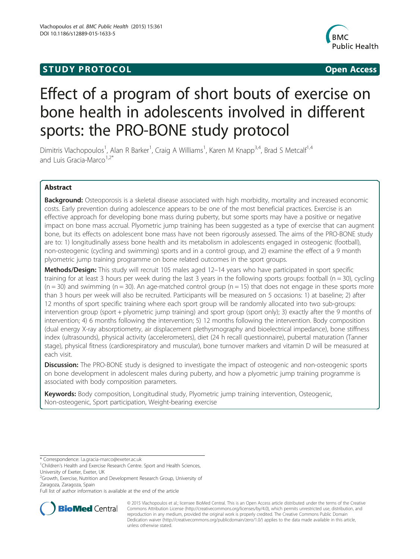# **STUDY PROTOCOL CONSUMING THE CONSUMING OPEN ACCESS**



# Effect of a program of short bouts of exercise on bone health in adolescents involved in different sports: the PRO-BONE study protocol

Dimitris Vlachopoulos<sup>1</sup>, Alan R Barker<sup>1</sup>, Craig A Williams<sup>1</sup>, Karen M Knapp<sup>3,4</sup>, Brad S Metcalf<sup>1,4</sup> and Luis Gracia-Marco<sup>1,2\*</sup>

# Abstract

Background: Osteoporosis is a skeletal disease associated with high morbidity, mortality and increased economic costs. Early prevention during adolescence appears to be one of the most beneficial practices. Exercise is an effective approach for developing bone mass during puberty, but some sports may have a positive or negative impact on bone mass accrual. Plyometric jump training has been suggested as a type of exercise that can augment bone, but its effects on adolescent bone mass have not been rigorously assessed. The aims of the PRO-BONE study are to: 1) longitudinally assess bone health and its metabolism in adolescents engaged in osteogenic (football), non-osteogenic (cycling and swimming) sports and in a control group, and 2) examine the effect of a 9 month plyometric jump training programme on bone related outcomes in the sport groups.

Methods/Design: This study will recruit 105 males aged 12-14 years who have participated in sport specific training for at least 3 hours per week during the last 3 years in the following sports groups: football ( $n = 30$ ), cycling  $(n = 30)$  and swimming  $(n = 30)$ . An age-matched control group  $(n = 15)$  that does not engage in these sports more than 3 hours per week will also be recruited. Participants will be measured on 5 occasions: 1) at baseline; 2) after 12 months of sport specific training where each sport group will be randomly allocated into two sub-groups: intervention group (sport + plyometric jump training) and sport group (sport only); 3) exactly after the 9 months of intervention; 4) 6 months following the intervention; 5) 12 months following the intervention. Body composition (dual energy X-ray absorptiometry, air displacement plethysmography and bioelectrical impedance), bone stiffness index (ultrasounds), physical activity (accelerometers), diet (24 h recall questionnaire), pubertal maturation (Tanner stage), physical fitness (cardiorespiratory and muscular), bone turnover markers and vitamin D will be measured at each visit.

**Discussion:** The PRO-BONE study is designed to investigate the impact of osteogenic and non-osteogenic sports on bone development in adolescent males during puberty, and how a plyometric jump training programme is associated with body composition parameters.

Keywords: Body composition, Longitudinal study, Plyometric jump training intervention, Osteogenic, Non-osteogenic, Sport participation, Weight-bearing exercise

Full list of author information is available at the end of the article



© 2015 Vlachopoulos et al.; licensee BioMed Central. This is an Open Access article distributed under the terms of the Creative Commons Attribution License [\(http://creativecommons.org/licenses/by/4.0\)](http://creativecommons.org/licenses/by/4.0), which permits unrestricted use, distribution, and reproduction in any medium, provided the original work is properly credited. The Creative Commons Public Domain Dedication waiver [\(http://creativecommons.org/publicdomain/zero/1.0/](http://creativecommons.org/publicdomain/zero/1.0/)) applies to the data made available in this article, unless otherwise stated.

<sup>\*</sup> Correspondence: [l.a.gracia-marco@exeter.ac.uk](mailto:l.a.gracia-marco@exeter.ac.uk) <sup>1</sup>

<sup>&</sup>lt;sup>1</sup>Children's Health and Exercise Research Centre. Sport and Health Sciences, University of Exeter, Exeter, UK

<sup>&</sup>lt;sup>2</sup>Growth, Exercise, Nutrition and Development Research Group, University of Zaragoza, Zaragoza, Spain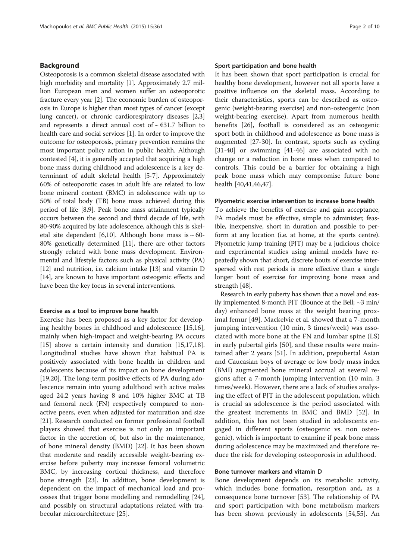# Background

Osteoporosis is a common skeletal disease associated with high morbidity and mortality [\[1\]](#page-7-0). Approximately 2.7 million European men and women suffer an osteoporotic fracture every year [\[2\]](#page-7-0). The economic burden of osteoporosis in Europe is higher than most types of cancer (except lung cancer), or chronic cardiorespiratory diseases [[2,3](#page-7-0)] and represents a direct annual cost of  $\sim \text{\textsterling}31.7$  billion to health care and social services [[1\]](#page-7-0). In order to improve the outcome for osteoporosis, primary prevention remains the most important policy action in public health. Although contested [[4\]](#page-7-0), it is generally accepted that acquiring a high bone mass during childhood and adolescence is a key determinant of adult skeletal health [[5-7\]](#page-7-0). Approximately 60% of osteoporotic cases in adult life are related to low bone mineral content (BMC) in adolescence with up to 50% of total body (TB) bone mass achieved during this period of life [\[8,9\]](#page-7-0). Peak bone mass attainment typically occurs between the second and third decade of life, with 80-90% acquired by late adolescence, although this is skel-etal site dependent [[6,10](#page-7-0)]. Although bone mass is  $\sim$  60-80% genetically determined [\[11\]](#page-7-0), there are other factors strongly related with bone mass development. Environmental and lifestyle factors such as physical activity (PA) [[12](#page-7-0)] and nutrition, i.e. calcium intake [\[13\]](#page-7-0) and vitamin D [[14](#page-7-0)], are known to have important osteogenic effects and have been the key focus in several interventions.

#### Exercise as a tool to improve bone health

Exercise has been proposed as a key factor for developing healthy bones in childhood and adolescence [\[15,16](#page-7-0)], mainly when high-impact and weight-bearing PA occurs [[15\]](#page-7-0) above a certain intensity and duration [\[15,17,18](#page-7-0)]. Longitudinal studies have shown that habitual PA is positively associated with bone health in children and adolescents because of its impact on bone development [[19,20\]](#page-7-0). The long-term positive effects of PA during adolescence remain into young adulthood with active males aged 24.2 years having 8 and 10% higher BMC at TB and femoral neck (FN) respectively compared to nonactive peers, even when adjusted for maturation and size [[21\]](#page-7-0). Research conducted on former professional football players showed that exercise is not only an important factor in the accretion of, but also in the maintenance, of bone mineral density (BMD) [[22\]](#page-7-0). It has been shown that moderate and readily accessible weight-bearing exercise before puberty may increase femoral volumetric BMC, by increasing cortical thickness, and therefore bone strength [\[23](#page-7-0)]. In addition, bone development is dependent on the impact of mechanical load and processes that trigger bone modelling and remodelling [\[24](#page-7-0)], and possibly on structural adaptations related with trabecular microarchitecture [[25](#page-7-0)].

#### Sport participation and bone health

It has been shown that sport participation is crucial for healthy bone development, however not all sports have a positive influence on the skeletal mass. According to their characteristics, sports can be described as osteogenic (weight-bearing exercise) and non-osteogenic (non weight-bearing exercise). Apart from numerous health benefits [[26](#page-7-0)], football is considered as an osteogenic sport both in childhood and adolescence as bone mass is augmented [[27-](#page-7-0)[30\]](#page-8-0). In contrast, sports such as cycling [[31-40](#page-8-0)] or swimming [\[41](#page-8-0)-[46](#page-8-0)] are associated with no change or a reduction in bone mass when compared to controls. This could be a barrier for obtaining a high peak bone mass which may compromise future bone health [\[40,41,46,47\]](#page-8-0).

#### Plyometric exercise intervention to increase bone health

To achieve the benefits of exercise and gain acceptance, PA models must be effective, simple to administer, feasible, inexpensive, short in duration and possible to perform at any location (i.e. at home, at the sports centre). Plyometric jump training (PJT) may be a judicious choice and experimental studies using animal models have repeatedly shown that short, discrete bouts of exercise interspersed with rest periods is more effective than a single longer bout of exercise for improving bone mass and strength [\[48\]](#page-8-0).

Research in early puberty has shown that a novel and easily implemented 8-month PJT (Bounce at the Bell; ~3 min/ day) enhanced bone mass at the weight bearing proximal femur [\[49](#page-8-0)]. Mackelvie et al. showed that a 7-month jumping intervention (10 min, 3 times/week) was associated with more bone at the FN and lumbar spine (LS) in early pubertal girls [[50](#page-8-0)], and these results were maintained after 2 years [\[51](#page-8-0)]. In addition, prepubertal Asian and Caucasian boys of average or low body mass index (BMI) augmented bone mineral accrual at several regions after a 7-month jumping intervention (10 min, 3 times/week). However, there are a lack of studies analysing the effect of PJT in the adolescent population, which is crucial as adolescence is the period associated with the greatest increments in BMC and BMD [\[52](#page-8-0)]. In addition, this has not been studied in adolescents engaged in different sports (osteogenic vs. non osteogenic), which is important to examine if peak bone mass during adolescence may be maximized and therefore reduce the risk for developing osteoporosis in adulthood.

## Bone turnover markers and vitamin D

Bone development depends on its metabolic activity, which includes bone formation, resorption and, as a consequence bone turnover [[53](#page-8-0)]. The relationship of PA and sport participation with bone metabolism markers has been shown previously in adolescents [\[54,55\]](#page-8-0). An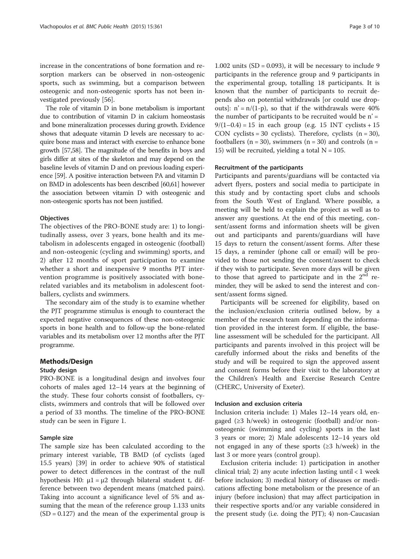increase in the concentrations of bone formation and resorption markers can be observed in non-osteogenic sports, such as swimming, but a comparison between osteogenic and non-osteogenic sports has not been investigated previously [[56](#page-8-0)].

The role of vitamin D in bone metabolism is important due to contribution of vitamin D in calcium homeostasis and bone mineralization processes during growth. Evidence shows that adequate vitamin D levels are necessary to acquire bone mass and interact with exercise to enhance bone growth [[57,58\]](#page-8-0). The magnitude of the benefits in boys and girls differ at sites of the skeleton and may depend on the baseline levels of vitamin D and on previous loading experience [\[59\]](#page-8-0). A positive interaction between PA and vitamin D on BMD in adolescents has been described [\[60,61\]](#page-8-0) however the association between vitamin D with osteogenic and non-osteogenic sports has not been justified.

#### **Objectives**

The objectives of the PRO-BONE study are: 1) to longitudinally assess, over 3 years, bone health and its metabolism in adolescents engaged in osteogenic (football) and non-osteogenic (cycling and swimming) sports, and 2) after 12 months of sport participation to examine whether a short and inexpensive 9 months PJT intervention programme is positively associated with bonerelated variables and its metabolism in adolescent footballers, cyclists and swimmers.

The secondary aim of the study is to examine whether the PJT programme stimulus is enough to counteract the expected negative consequences of these non-osteogenic sports in bone health and to follow-up the bone-related variables and its metabolism over 12 months after the PJT programme.

## Methods/Design

#### Study design

PRO-BONE is a longitudinal design and involves four cohorts of males aged 12–14 years at the beginning of the study. These four cohorts consist of footballers, cyclists, swimmers and controls that will be followed over a period of 33 months. The timeline of the PRO-BONE study can be seen in Figure [1.](#page-3-0)

# Sample size

The sample size has been calculated according to the primary interest variable, TB BMD (of cyclists (aged 15.5 years) [[39\]](#page-8-0) in order to achieve 90% of statistical power to detect differences in the contrast of the null hypothesis H0:  $μ1 = μ2$  through bilateral student t, difference between two dependent means (matched pairs). Taking into account a significance level of 5% and assuming that the mean of the reference group 1.133 units  $(SD = 0.127)$  and the mean of the experimental group is

1.002 units  $(SD = 0.093)$ , it will be necessary to include 9 participants in the reference group and 9 participants in the experimental group, totalling 18 participants. It is known that the number of participants to recruit depends also on potential withdrawals [or could use dropouts]:  $n' = n/(1-p)$ , so that if the withdrawals were 40% the number of participants to be recruited would be  $n' =$  $9/(1-0.4) = 15$  in each group (e.g. 15 INT cyclists + 15 CON cyclists = 30 cyclists). Therefore, cyclists  $(n = 30)$ , footballers ( $n = 30$ ), swimmers ( $n = 30$ ) and controls ( $n =$ 15) will be recruited, yielding a total  $N = 105$ .

### Recruitment of the participants

Participants and parents/guardians will be contacted via advert flyers, posters and social media to participate in this study and by contacting sport clubs and schools from the South West of England. Where possible, a meeting will be held to explain the project as well as to answer any questions. At the end of this meeting, consent/assent forms and information sheets will be given out and participants and parents/guardians will have 15 days to return the consent/assent forms. After these 15 days, a reminder (phone call or email) will be provided to those not sending the consent/assent to check if they wish to participate. Seven more days will be given to those that agreed to participate and in the  $2<sup>nd</sup>$  reminder, they will be asked to send the interest and consent/assent forms signed.

Participants will be screened for eligibility, based on the inclusion/exclusion criteria outlined below, by a member of the research team depending on the information provided in the interest form. If eligible, the baseline assessment will be scheduled for the participant. All participants and parents involved in this project will be carefully informed about the risks and benefits of the study and will be required to sign the approved assent and consent forms before their visit to the laboratory at the Children's Health and Exercise Research Centre (CHERC, University of Exeter).

# Inclusion and exclusion criteria

Inclusion criteria include: 1) Males 12–14 years old, engaged (≥3 h/week) in osteogenic (football) and/or nonosteogenic (swimming and cycling) sports in the last 3 years or more; 2) Male adolescents 12–14 years old not engaged in any of these sports  $(\geq 3 \text{ h/week})$  in the last 3 or more years (control group).

Exclusion criteria include: 1) participation in another clinical trial; 2) any acute infection lasting until  $< 1$  week before inclusion; 3) medical history of diseases or medications affecting bone metabolism or the presence of an injury (before inclusion) that may affect participation in their respective sports and/or any variable considered in the present study (i.e. doing the PJT); 4) non-Caucasian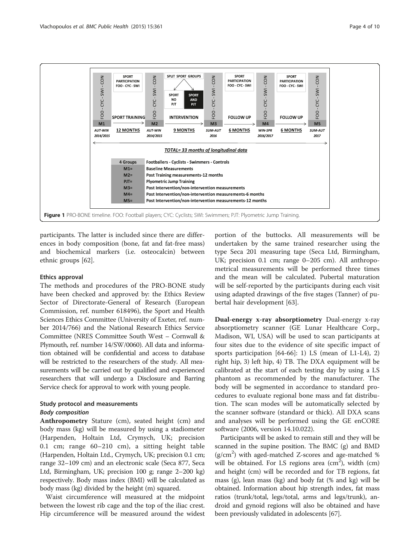<span id="page-3-0"></span>

participants. The latter is included since there are differences in body composition (bone, fat and fat-free mass) and biochemical markers (i.e. osteocalcin) between ethnic groups [[62\]](#page-8-0).

#### Ethics approval

The methods and procedures of the PRO-BONE study have been checked and approved by: the Ethics Review Sector of Directorate-General of Research (European Commission, ref. number 618496), the Sport and Health Sciences Ethics Committee (University of Exeter, ref. number 2014/766) and the National Research Ethics Service Committee (NRES Committee South West – Cornwall & Plymouth, ref. number 14/SW/0060). All data and information obtained will be confidential and access to database will be restricted to the researchers of the study. All measurements will be carried out by qualified and experienced researchers that will undergo a Disclosure and Barring Service check for approval to work with young people.

# Study protocol and measurements

#### Body composition

Anthropometry Stature (cm), seated height (cm) and body mass (kg) will be measured by using a stadiometer (Harpenden, Holtain Ltd, Crymych, UK; precision 0.1 cm; range 60–210 cm), a sitting height table (Harpenden, Holtain Ltd., Crymych, UK; precision 0.1 cm; range 32–109 cm) and an electronic scale (Seca 877, Seca Ltd, Birmingham, UK; precision 100 g; range 2–200 kg) respectively. Body mass index (BMI) will be calculated as body mass (kg) divided by the height (m) squared.

Waist circumference will measured at the midpoint between the lowest rib cage and the top of the iliac crest. Hip circumference will be measured around the widest

portion of the buttocks. All measurements will be undertaken by the same trained researcher using the type Seca 201 measuring tape (Seca Ltd, Birmingham, UK; precision 0.1 cm; range 0–205 cm). All anthropometrical measurements will be performed three times and the mean will be calculated. Pubertal maturation will be self-reported by the participants during each visit using adapted drawings of the five stages (Tanner) of pubertal hair development [[63](#page-8-0)].

Dual-energy x-ray absorptiometry Dual-energy x-ray absorptiometry scanner (GE Lunar Healthcare Corp., Madison, WI, USA) will be used to scan participants at four sites due to the evidence of site specific impact of sports participation  $[64-66]$  $[64-66]$  $[64-66]$ : 1) LS (mean of L1-L4), 2) right hip, 3) left hip, 4) TB. The DXA equipment will be calibrated at the start of each testing day by using a LS phantom as recommended by the manufacturer. The body will be segmented in accordance to standard procedures to evaluate regional bone mass and fat distribution. The scan modes will be automatically selected by the scanner software (standard or thick). All DXA scans and analyses will be performed using the GE enCORE software (2006, version 14.10.022).

Participants will be asked to remain still and they will be scanned in the supine position. The BMC (g) and BMD (g/cm<sup>2</sup>) with aged-matched Z-scores and age-matched % will be obtained. For LS regions area  $(cm<sup>2</sup>)$ , width  $(cm)$ and height (cm) will be recorded and for TB regions, fat mass (g), lean mass (kg) and body fat (% and kg) will be obtained. Information about hip strength index, fat mass ratios (trunk/total, legs/total, arms and legs/trunk), android and gynoid regions will also be obtained and have been previously validated in adolescents [\[67](#page-8-0)].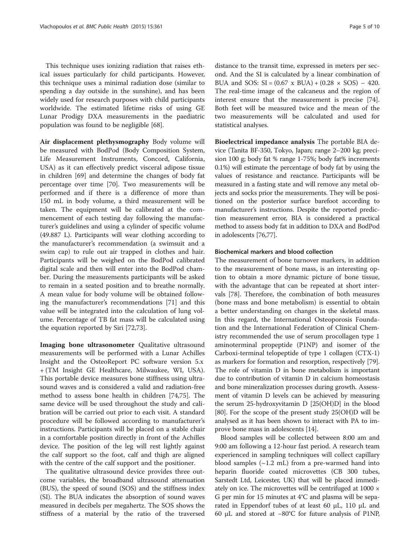This technique uses ionizing radiation that raises ethical issues particularly for child participants. However, this technique uses a minimal radiation dose (similar to spending a day outside in the sunshine), and has been widely used for research purposes with child participants worldwide. The estimated lifetime risks of using GE Lunar Prodigy DXA measurements in the paediatric population was found to be negligible [\[68](#page-8-0)].

Air displacement plethysmography Body volume will be measured with BodPod (Body Composition System, Life Measurement Instruments, Concord, California, USA) as it can effectively predict visceral adipose tissue in children [\[69](#page-8-0)] and determine the changes of body fat percentage over time [\[70](#page-8-0)]. Two measurements will be performed and if there is a difference of more than 150 mL in body volume, a third measurement will be taken. The equipment will be calibrated at the commencement of each testing day following the manufacturer's guidelines and using a cylinder of specific volume (49.887 L). Participants will wear clothing according to the manufacturer's recommendation (a swimsuit and a swim cap) to rule out air trapped in clothes and hair. Participants will be weighed on the BodPod calibrated digital scale and then will enter into the BodPod chamber. During the measurements participants will be asked to remain in a seated position and to breathe normally. A mean value for body volume will be obtained following the manufacturer's recommendations [\[71](#page-8-0)] and this value will be integrated into the calculation of lung volume. Percentage of TB fat mass will be calculated using the equation reported by Siri [\[72,73\]](#page-8-0).

Imaging bone ultrasonometer Qualitative ultrasound measurements will be performed with a Lunar Achilles Insight and the OsteoReport PC software version 5.x + (TM Insight GE Healthcare, Milwaukee, WI, USA). This portable device measures bone stiffness using ultrasound waves and is considered a valid and radiation-free method to assess bone health in children [[74,75](#page-8-0)]. The same device will be used throughout the study and calibration will be carried out prior to each visit. A standard procedure will be followed according to manufacturer's instructions. Participants will be placed on a stable chair in a comfortable position directly in front of the Achilles device. The position of the leg will rest lightly against the calf support so the foot, calf and thigh are aligned with the centre of the calf support and the positioner.

The qualitative ultrasound device provides three outcome variables, the broadband ultrasound attenuation (BUS), the speed of sound (SOS) and the stiffness index (SI). The BUA indicates the absorption of sound waves measured in decibels per megahertz. The SOS shows the stiffness of a material by the ratio of the traversed distance to the transit time, expressed in meters per second. And the SI is calculated by a linear combination of BUA and SOS:  $SI = (0.67 \times BUA) + (0.28 \times SOS) - 420$ . The real-time image of the calcaneus and the region of interest ensure that the measurement is precise [\[74](#page-8-0)]. Both feet will be measured twice and the mean of the two measurements will be calculated and used for statistical analyses.

Bioelectrical impedance analysis The portable BIA device (Tanita BF-350, Tokyo, Japan; range 2–200 kg; precision 100 g; body fat % range 1-75%; body fat% increments 0.1%) will estimate the percentage of body fat by using the values of resistance and reactance. Participants will be measured in a fasting state and will remove any metal objects and socks prior the measurements. They will be positioned on the posterior surface barefoot according to manufacturer's instructions. Despite the reported prediction measurement error, BIA is considered a practical method to assess body fat in addition to DXA and BodPod in adolescents [[76,77\]](#page-9-0).

#### Biochemical markers and blood collection

The measurement of bone turnover markers, in addition to the measurement of bone mass, is an interesting option to obtain a more dynamic picture of bone tissue, with the advantage that can be repeated at short intervals [\[78\]](#page-9-0). Therefore, the combination of both measures (bone mass and bone metabolism) is essential to obtain a better understanding on changes in the skeletal mass. In this regard, the International Osteoporosis Foundation and the International Federation of Clinical Chemistry recommended the use of serum procollagen type 1 aminoterminal propeptide (P1NP) and isomer of the Carboxi-terminal telopeptide of type 1 collagen (CTX-1) as markers for formation and resorption, respectively [[79](#page-9-0)]. The role of vitamin D in bone metabolism is important due to contribution of vitamin D in calcium homeostasis and bone mineralization processes during growth. Assessment of vitamin D levels can be achieved by measuring the serum 25-hydroxyvitamin D [25(OH)D] in the blood [[80](#page-9-0)]. For the scope of the present study 25(OH)D will be analysed as it has been shown to interact with PA to improve bone mass in adolescents [[14](#page-7-0)].

Blood samples will be collected between 8:00 am and 9:00 am following a 12-hour fast period. A research team experienced in sampling techniques will collect capillary blood samples  $(\sim 1.2 \text{ mL})$  from a pre-warmed hand into heparin fluoride coated microvettes (CB 300 tubes, Sarstedt Ltd, Leicester, UK) that will be placed immediately on ice. The microvettes will be centrifuged at  $1000 \times$ G per min for 15 minutes at 4°C and plasma will be separated in Eppendorf tubes of at least 60 μL, 110 μL and 60 μL and stored at −80°C for future analysis of P1NP,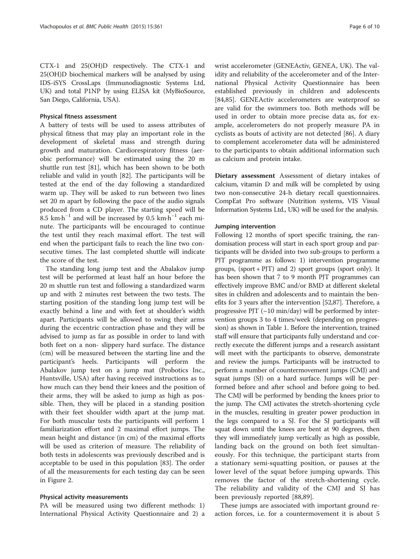CTX-1 and 25(OH)D respectively. The CTX-1 and 25(OH)D biochemical markers will be analysed by using IDS-iSYS CrossLaps (Immunodiagnostic Systems Ltd, UK) and total P1NP by using ELISA kit (MyBioSource, San Diego, California, USA).

#### Physical fitness assessment

A battery of tests will be used to assess attributes of physical fitness that may play an important role in the development of skeletal mass and strength during growth and maturation. Cardiorespiratory fitness (aerobic performance) will be estimated using the 20 m shuttle run test [\[81\]](#page-9-0), which has been shown to be both reliable and valid in youth [[82\]](#page-9-0). The participants will be tested at the end of the day following a standardized warm up. They will be asked to run between two lines set 20 m apart by following the pace of the audio signals produced from a CD player. The starting speed will be 8.5 km∙h−<sup>1</sup> and will be increased by 0.5 km∙h−<sup>1</sup> each minute. The participants will be encouraged to continue the test until they reach maximal effort. The test will end when the participant fails to reach the line two consecutive times. The last completed shuttle will indicate the score of the test.

The standing long jump test and the Abalakov jump test will be performed at least half an hour before the 20 m shuttle run test and following a standardized warm up and with 2 minutes rest between the two tests. The starting position of the standing long jump test will be exactly behind a line and with feet at shoulder's width apart. Participants will be allowed to swing their arms during the eccentric contraction phase and they will be advised to jump as far as possible in order to land with both feet on a non- slippery hard surface. The distance (cm) will be measured between the starting line and the participant's heels. Participants will perform the Abalakov jump test on a jump mat (Probotics Inc., Huntsville, USA) after having received instructions as to how much can they bend their knees and the position of their arms, they will be asked to jump as high as possible. Then, they will be placed in a standing position with their feet shoulder width apart at the jump mat. For both muscular tests the participants will perform 1 familiarization effort and 2 maximal effort jumps. The mean height and distance (in cm) of the maximal efforts will be used as criterion of measure. The reliability of both tests in adolescents was previously described and is acceptable to be used in this population [\[83\]](#page-9-0). The order of all the measurements for each testing day can be seen in Figure [2](#page-6-0).

#### Physical activity measurements

PA will be measured using two different methods: 1) International Physical Activity Questionnaire and 2) a

wrist accelerometer (GENEActiv, GENEA, UK). The validity and reliability of the accelerometer and of the International Physical Activity Questionnaire has been established previously in children and adolescents [[84,85\]](#page-9-0). GENEActiv accelerometers are waterproof so are valid for the swimmers too. Both methods will be used in order to obtain more precise data as, for example, accelerometers do not properly measure PA in cyclists as bouts of activity are not detected [\[86\]](#page-9-0). A diary to complement accelerometer data will be administered to the participants to obtain additional information such as calcium and protein intake.

Dietary assessment Assessment of dietary intakes of calcium, vitamin D and milk will be completed by using two non-consecutive 24-h dietary recall questionnaires. CompEat Pro software (Nutrition systems, VIS Visual Information Systems Ltd., UK) will be used for the analysis.

#### Jumping intervention

Following 12 months of sport specific training, the randomisation process will start in each sport group and participants will be divided into two sub-groups to perform a PJT programme as follows: 1) intervention programme groups, (sport + PJT) and 2) sport groups (sport only). It has been shown that 7 to 9 month PJT programmes can effectively improve BMC and/or BMD at different skeletal sites in children and adolescents and to maintain the benefits for 3 years after the intervention [\[52](#page-8-0)[,87\]](#page-9-0). Therefore, a progressive PJT  $(\sim 10 \text{ min/day})$  will be performed by intervention groups 3 to 4 times/week (depending on progression) as shown in Table [1](#page-6-0). Before the intervention, trained staff will ensure that participants fully understand and correctly execute the different jumps and a research assistant will meet with the participants to observe, demonstrate and review the jumps. Participants will be instructed to perform a number of countermovement jumps (CMJ) and squat jumps (SJ) on a hard surface. Jumps will be performed before and after school and before going to bed. The CMJ will be performed by bending the knees prior to the jump. The CMJ activates the stretch-shortening cycle in the muscles, resulting in greater power production in the legs compared to a SJ. For the SJ participants will squat down until the knees are bent at 90 degrees, then they will immediately jump vertically as high as possible, landing back on the ground on both feet simultaneously. For this technique, the participant starts from a stationary semi-squatting position, or pauses at the lower level of the squat before jumping upwards. This removes the factor of the stretch-shortening cycle. The reliability and validity of the CMJ and SJ has been previously reported [[88,89\]](#page-9-0).

These jumps are associated with important ground reaction forces, i.e. for a countermovement it is about 5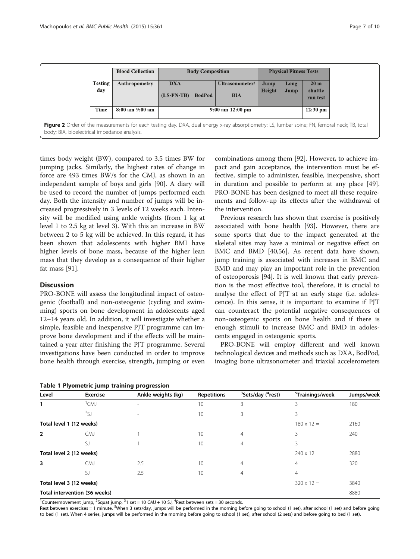<span id="page-6-0"></span>

| <b>Blood Collection</b>         | <b>Body Composition</b>    |                    |                               | <b>Physical Fitness Tests</b> |                    |                                        |
|---------------------------------|----------------------------|--------------------|-------------------------------|-------------------------------|--------------------|----------------------------------------|
| Testing<br>Anthropometry<br>day | <b>DXA</b><br>$(LS-FN-TB)$ | <b>BodPod</b>      | Ultrasonometer/<br><b>BIA</b> | Jump<br>Height                | Long<br>Jump       | 20 <sub>m</sub><br>shuttle<br>run test |
| <b>Time</b><br>8:00 am-9:00 am  |                            | $9:00$ am-12:00 pm |                               |                               | $12:30 \text{ pm}$ |                                        |

Figure 2 Order of the measurements for each testing day. DXA, dual energy x-ray absorptiometry; LS, lumbar spine; FN, femoral neck; TB, total body; BIA, bioelectrical impedance analysis.

times body weight (BW), compared to 3.5 times BW for jumping jacks. Similarly, the highest rates of change in force are 493 times BW/s for the CMJ, as shown in an independent sample of boys and girls [[90\]](#page-9-0). A diary will be used to record the number of jumps performed each day. Both the intensity and number of jumps will be increased progressively in 3 levels of 12 weeks each. Intensity will be modified using ankle weights (from 1 kg at level 1 to 2.5 kg at level 3). With this an increase in BW between 2 to 5 kg will be achieved. In this regard, it has been shown that adolescents with higher BMI have higher levels of bone mass, because of the higher lean mass that they develop as a consequence of their higher fat mass [\[91](#page-9-0)].

# **Discussion**

PRO-BONE will assess the longitudinal impact of osteogenic (football) and non-osteogenic (cycling and swimming) sports on bone development in adolescents aged 12–14 years old. In addition, it will investigate whether a simple, feasible and inexpensive PJT programme can improve bone development and if the effects will be maintained a year after finishing the PJT programme. Several investigations have been conducted in order to improve bone health through exercise, strength, jumping or even

|  |  | Table 1 Plyometric jump training progression |
|--|--|----------------------------------------------|
|  |  |                                              |

combinations among them [[92\]](#page-9-0). However, to achieve impact and gain acceptance, the intervention must be effective, simple to administer, feasible, inexpensive, short in duration and possible to perform at any place [\[49](#page-8-0)]. PRO-BONE has been designed to meet all these requirements and follow-up its effects after the withdrawal of the intervention.

Previous research has shown that exercise is positively associated with bone health [[93\]](#page-9-0). However, there are some sports that due to the impact generated at the skeletal sites may have a minimal or negative effect on BMC and BMD [\[40,56\]](#page-8-0). As recent data have shown, jump training is associated with increases in BMC and BMD and may play an important role in the prevention of osteoporosis [\[94\]](#page-9-0). It is well known that early prevention is the most effective tool, therefore, it is crucial to analyse the effect of PJT at an early stage (i.e. adolescence). In this sense, it is important to examine if PJT can counteract the potential negative consequences of non-osteogenic sports on bone health and if there is enough stimuli to increase BMC and BMD in adolescents engaged in osteogenic sports.

PRO-BONE will employ different and well known technological devices and methods such as DXA, BodPod, imaging bone ultrasonometer and triaxial accelerometers

| Level                                         | <b>Exercise</b>               | Ankle weights (kg) | <b>Repetitions</b> | <sup>3</sup> Sets/day ( <sup>4</sup> rest) | <sup>5</sup> Trainings/week | Jumps/week |
|-----------------------------------------------|-------------------------------|--------------------|--------------------|--------------------------------------------|-----------------------------|------------|
|                                               | $^1$ CMJ                      |                    | 10                 | 3                                          | 3                           | 180        |
|                                               | 25J                           |                    | 10                 | 3                                          | 3                           |            |
|                                               | Total level 1 (12 weeks)      |                    |                    |                                            | $180 \times 12 =$           | 2160       |
| $\overline{2}$                                | <b>CMJ</b>                    |                    | 10                 | $\overline{4}$                             | 3                           | 240        |
|                                               | SJ                            |                    | 10                 | $\overline{4}$                             | 3                           |            |
|                                               | Total level 2 (12 weeks)      |                    |                    |                                            | $240 \times 12 =$           | 2880       |
| 3                                             | <b>CMJ</b>                    | 2.5                | 10                 | $\overline{4}$                             | $\overline{4}$              | 320        |
|                                               | SJ                            | 2.5                | 10                 | $\overline{4}$                             | $\overline{4}$              |            |
| Total level 3 (12 weeks)<br>$320 \times 12 =$ |                               |                    |                    |                                            |                             | 3840       |
|                                               | Total intervention (36 weeks) |                    |                    |                                            |                             | 8880       |

<sup>1</sup>Countermovement jump, <sup>2</sup>Squat jump, <sup>3</sup>1 set = 10 CMJ + 10 SJ, <sup>4</sup>Rest between sets = 30 seconds.

Rest between exercises = 1 minute, <sup>5</sup>When 3 sets/day, jumps will be performed in the morning before going to school (1 set), after school (1 set) and before going to bed (1 set). When 4 series, jumps will be performed in the morning before going to school (1 set), after school (2 sets) and before going to bed (1 set).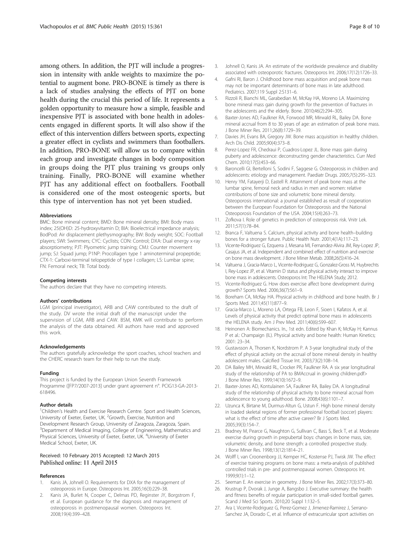<span id="page-7-0"></span>among others. In addition, the PJT will include a progression in intensity with ankle weights to maximize the potential to augment bone. PRO-BONE is timely as there is a lack of studies analysing the effects of PJT on bone health during the crucial this period of life. It represents a golden opportunity to measure how a simple, feasible and inexpensive PJT is associated with bone health in adolescents engaged in different sports. It will also show if the effect of this intervention differs between sports, expecting a greater effect in cyclists and swimmers than footballers. In addition, PRO-BONE will allow us to compare within each group and investigate changes in body composition in groups doing the PJT plus training vs groups only training. Finally, PRO-BONE will examine whether PJT has any additional effect on footballers. Football is considered one of the most osteogenic sports, but this type of intervention has not yet been studied.

#### Abbreviations

BMC: Bone mineral content; BMD: Bone mineral density; BMI: Body mass index; 25(OH)D: 25-hydroxyvitamin D; BIA: Bioelectrical impedance analysis; BodPod: Air displacement plethysmography; BW: Body weight; SOC: Football players; SWI: Swimmers; CYC: Cyclists; CON: Control; DXA: Dual energy x-ray absorptiometry; PJT: Plyometric jump training; CMJ: Counter movement jump; SJ: Squad jump; P1NP: Procollagen type 1 aminoterminal propeptide; CTX-1: Carboxi-terminal telopeptide of type I collagen; LS: Lumbar spine; FN: Femoral neck; TB: Total body.

#### Competing interests

The authors declare that they have no competing interests.

#### Authors' contributions

LGM (principal investigator), ARB and CAW contributed to the draft of the study. DV wrote the initial draft of the manuscript under the supervision of LGM, ARB and CAW. BSM, KMK will contribute to perform the analysis of the data obtained. All authors have read and approved this work.

#### Acknowledgements

The authors gratefully acknowledge the sport coaches, school teachers and the CHERC research team for their help to run the study.

#### Funding

This project is funded by the European Union Seventh Framework Programme ([FP7/2007-2013] under grant agreement n°. PCIG13-GA-2013- 618496.

#### Author details

<sup>1</sup>Children's Health and Exercise Research Centre. Sport and Health Sciences, University of Exeter, Exeter, UK. <sup>2</sup>Growth, Exercise, Nutrition and Development Research Group, University of Zaragoza, Zaragoza, Spain. <sup>3</sup>Department of Medical Imaging, College of Engineering, Mathematics and Physical Sciences, University of Exeter, Exeter, UK. <sup>4</sup>University of Exeter Medical School, Exeter, UK.

#### Received: 10 February 2015 Accepted: 12 March 2015 Published online: 11 April 2015

#### References

- Kanis JA, Johnell O. Requirements for DXA for the management of osteoporosis in Europe. Osteoporos Int. 2005;16(3):229–38.
- Kanis JA, Burlet N, Cooper C, Delmas PD, Reginster JY, Borgstrom F, et al. European guidance for the diagnosis and management of osteoporosis in postmenopausal women. Osteoporos Int. 2008;19(4):399–428.
- 3. Johnell O, Kanis JA. An estimate of the worldwide prevalence and disability associated with osteoporotic fractures. Osteoporos Int. 2006;17(12):1726–33.
- 4. Gafni RI, Baron J. Childhood bone mass acquisition and peak bone mass may not be important determinants of bone mass in late adulthood. Pediatrics. 2007;119 Suppl 2:S131–6.
- Rizzoli R, Bianchi ML, Garabedian M, McKay HA, Moreno LA. Maximizing bone mineral mass gain during growth for the prevention of fractures in the adolescents and the elderly. Bone. 2010;46(2):294–305.
- 6. Baxter-Jones AD, Faulkner RA, Forwood MR, Mirwald RL, Bailey DA. Bone mineral accrual from 8 to 30 years of age: an estimation of peak bone mass. J Bone Miner Res. 2011;26(8):1729–39.
- 7. Davies JH, Evans BA, Gregory JW. Bone mass acquisition in healthy children. Arch Dis Child. 2005;90(4):373–8.
- 8. Perez-Lopez FR, Chedraui P, Cuadros-Lopez JL. Bone mass gain during puberty and adolescence: deconstructing gender characteristics. Curr Med Chem. 2010;17(5):453–66.
- 9. Baroncelli GI, Bertelloni S, Sodini F, Saggese G. Osteoporosis in children and adolescents: etiology and management. Paediatr Drugs. 2005;7(5):295–323.
- 10. Henry YM, Fatayerji D, Eastell R. Attainment of peak bone mass at the lumbar spine, femoral neck and radius in men and women: relative contributions of bone size and volumetric bone mineral density. Osteoporosis international: a journal established as result of cooperation between the European Foundation for Osteoporosis and the National Osteoporosis Foundation of the USA. 2004;15(4):263–73.
- 11. Zofkova I. Role of genetics in prediction of osteoporosis risk. Vnitr Lek. 2011;57(1):78–84.
- 12. Branca F, Valtuena S. Calcium, physical activity and bone health–building bones for a stronger future. Public Health Nutr. 2001;4(1A):117–23.
- 13. Vicente-Rodriguez G, Ezquerra J, Mesana MI, Fernandez-Alvira JM, Rey-Lopez JP, Casajus JA, et al. Independent and combined effect of nutrition and exercise on bone mass development. J Bone Miner Metab. 2008;26(5):416–24.
- 14. Valtuena J, Gracia-Marco L, Vicente-Rodriguez G, Gonzalez-Gross M, Huybrechts I, Rey-Lopez JP, et al. Vitamin D status and physical activity interact to improve bone mass in adolescents. Osteoporos Int: The HELENA Study; 2012.
- 15. Vicente-Rodriguez G. How does exercise affect bone development during growth? Sports Med. 2006;36(7):561–9.
- 16. Boreham CA, McKay HA. Physical activity in childhood and bone health. Br J Sports Med. 2011;45(11):877–9.
- 17. Gracia-Marco L, Moreno LA, Ortega FB, Leon F, Sioen I, Kafatos A, et al. Levels of physical activity that predict optimal bone mass in adolescents the HELENA study. Am J Prev Med. 2011;40(6):599–607.
- 18. Heinonen A: Biomechanics. In., 1st edn. Edited by Khan K; McKay H; Kannus P et al.: Champaign (IL). Physical activity and bone health: Human Kinetics; 2001: 23–34.
- 19. Gustavsson A, Thorsen K, Nordstrom P. A 3-year longitudinal study of the effect of physical activity on the accrual of bone mineral density in healthy adolescent males. Calcified Tissue Int. 2003;73(2):108–14.
- 20. DA Bailey MH, Mirwald RL, Crocker PR, Faulkner RA. A six year longitudinal study of the relationship of PA to BMAccrual in growing children.pdf> J Bone Miner Res. 1999;14(10):1672–9.
- 21. Baxter-Jones AD, Kontulainen SA, Faulkner RA, Bailey DA. A longitudinal study of the relationship of physical activity to bone mineral accrual from adolescence to young adulthood. Bone. 2008;43(6):1101–7.
- 22. Uzunca K, Birtane M, Durmus-Altun G, Ustun F. High bone mineral density in loaded skeletal regions of former professional football (soccer) players: what is the effect of time after active career? Br J Sports Med. 2005;39(3):154–7.
- 23. Bradney M, Pearce G, Naughton G, Sullivan C, Bass S, Beck T, et al. Moderate exercise during growth in prepubertal boys: changes in bone mass, size, volumetric density, and bone strength: a controlled prospective study. J Bone Miner Res. 1998;13(12):1814–21.
- 24. Wolff I, van Croonenborg JJ, Kemper HC, Kostense PJ, Twisk JW. The effect of exercise training programs on bone mass: a meta-analysis of published controlled trials in pre- and postmenopausal women. Osteoporos Int. 1999;9(1):1–12.
- 25. Seeman E. An exercise in geometry. J Bone Miner Res. 2002;17(3):373–80.
- 26. Krustrup P, Dvorak J, Junge A, Bangsbo J. Executive summary: the health and fitness benefits of regular participation in small-sided football games. Scand J Med Sci Sports. 2010;20 Suppl 1:132–5.
- 27. Ara I, Vicente-Rodriguez G, Perez-Gomez J, Jimenez-Ramirez J, Serrano-Sanchez JA, Dorado C, et al. Influence of extracurricular sport activities on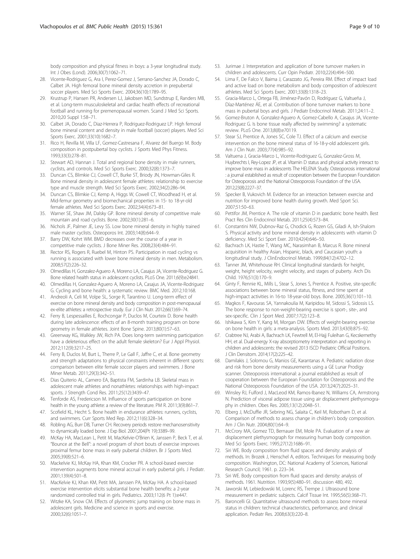<span id="page-8-0"></span>body composition and physical fitness in boys: a 3-year longitudinal study. Int J Obes (Lond). 2006;30(7):1062–71.

- 28. Vicente-Rodriguez G, Ara I, Perez-Gomez J, Serrano-Sanchez JA, Dorado C, Calbet JA. High femoral bone mineral density accretion in prepubertal soccer players. Med Sci Sports Exerc. 2004;36(10):1789–95.
- 29. Krustrup P, Hansen PR, Andersen LJ, Jakobsen MD, Sundstrup E, Randers MB, et al. Long-term musculoskeletal and cardiac health effects of recreational football and running for premenopausal women. Scand J Med Sci Sports. 2010;20 Suppl 1:58–71.
- 30. Calbet JA, Dorado C, Diaz-Herrera P, Rodriguez-Rodriguez LP. High femoral bone mineral content and density in male football (soccer) players. Med Sci Sports Exerc. 2001;33(10):1682–7.
- 31. Rico H, Revilla M, Villa LF, Gomez-Castresana F, Alvarez del Buergo M. Body composition in postpubertal boy cyclists. J Sports Med Phys Fitness. 1993;33(3):278–81.
- 32. Stewart AD, Hannan J. Total and regional bone density in male runners, cyclists, and controls. Med Sci Sports Exerc. 2000;32(8):1373–7.
- 33. Duncan CS, Blimkie CJ, Cowell CT, Burke ST, Briody JN, Howman-Giles R. Bone mineral density in adolescent female athletes: relationship to exercise type and muscle strength. Med Sci Sports Exerc. 2002;34(2):286–94.
- 34. Duncan CS, Blimkie CJ, Kemp A, Higgs W, Cowell CT, Woodhead H, et al. Mid-femur geometry and biomechanical properties in 15- to 18-yr-old female athletes. Med Sci Sports Exerc. 2002;34(4):673–81.
- 35. Warner SE, Shaw JM, Dalsky GP. Bone mineral density of competitive male mountain and road cyclists. Bone. 2002;30(1):281–6.
- 36. Nichols JF, Palmer JE, Levy SS. Low bone mineral density in highly trained male master cyclists. Osteoporos Int. 2003;14(8):644–9.
- 37. Barry DW, Kohrt WM. BMD decreases over the course of a year in competitive male cyclists. J Bone Miner Res. 2008;23(4):484–91.
- 38. Rector RS, Rogers R, Ruebel M, Hinton PS. Participation in road cycling vs running is associated with lower bone mineral density in men. Metabolism. 2008;57(2):226–32.
- 39. Olmedillas H, Gonzalez-Aguero A, Moreno LA, Casajus JA, Vicente-Rodriguez G. Bone related health status in adolescent cyclists. PLoS One. 2011;6(9):e24841.
- 40. Olmedillas H, Gonzalez-Aguero A, Moreno LA, Casajus JA, Vicente-Rodriguez G. Cycling and bone health: a systematic review. BMC Med. 2012;10:168.
- 41. Andreoli A, Celi M, Volpe SL, Sorge R, Tarantino U. Long-term effect of exercise on bone mineral density and body composition in post-menopausal ex-elite athletes: a retrospective study. Eur J Clin Nutr. 2012;66(1):69–74.
- 42. Ferry B, Lespessailles E, Rochcongar P, Duclos M, Courteix D. Bone health during late adolescence: effects of an 8-month training program on bone geometry in female athletes. Joint Bone Spine. 2013;80(1):57–63.
- 43. Greenway KG, Walkley JW, Rich PA. Does long-term swimming participation have a deleterious effect on the adult female skeleton? Eur J Appl Physiol. 2012;112(9):3217–25.
- 44. Ferry B, Duclos M, Burt L, Therre P, Le Gall F, Jaffre C, et al. Bone geometry and strength adaptations to physical constraints inherent in different sports: comparison between elite female soccer players and swimmers. J Bone Miner Metab. 2011;29(3):342–51.
- 45. Dias Quiterio AL, Carnero EA, Baptista FM, Sardinha LB. Skeletal mass in adolescent male athletes and nonathletes: relationships with high-impact sports. J Strength Cond Res. 2011;25(12):3439–47.
- 46. Tenforde AS, Fredericson M. Influence of sports participation on bone health in the young athlete: a review of the literature. PM R. 2011;3(9):861–7.
- 47. Scofield KL, Hecht S. Bone health in endurance athletes: runners, cyclists, and swimmers. Curr Sports Med Rep. 2012;11(6):328–34.
- 48. Robling AG, Burr DB, Turner CH. Recovery periods restore mechanosensitivity to dynamically loaded bone. J Exp Biol. 2001;204(Pt 19):3389–99.
- 49. McKay HA, MacLean L, Petit M, MacKelvie-O'Brien K, Janssen P, Beck T, et al. "Bounce at the Bell": a novel program of short bouts of exercise improves proximal femur bone mass in early pubertal children. Br J Sports Med. 2005;39(8):521–6.
- 50. Mackelvie KJ, McKay HA, Khan KM, Crocker PR. A school-based exercise intervention augments bone mineral accrual in early pubertal girls. J Pediatr. 2001;139(4):501–8.
- 51. MacKelvie KJ, Khan KM, Petit MA, Janssen PA, McKay HA. A school-based exercise intervention elicits substantial bone health benefits: a 2-year randomized controlled trial in girls. Pediatrics. 2003;112(6 Pt 1):e447.
- 52. Witzke KA, Snow CM. Effects of plyometric jump training on bone mass in adolescent girls. Medicine and science in sports and exercise. 2000;32(6):1051–7.
- 53. Jurimae J. Interpretation and application of bone turnover markers in children and adolescents. Curr Opin Pediatr. 2010;22(4):494–500.
- 54. Lima F, De Falco V, Baima J, Carazzato JG, Pereira RM. Effect of impact load and active load on bone metabolism and body composition of adolescent athletes. Med Sci Sports Exerc. 2001;33(8):1318–23.
- 55. Gracia-Marco L, Ortega FB, Jiménez-Pavón D, Rodríguez G, Valtueña J, Díaz-Marténez ÁE, et al. Contribution of bone turnover markers to bone mass in pubertal boys and girls. J Pediatr Endocrinol Metab. 2011;24:11–2.
- 56. Gomez-Bruton A, Gonzalez-Aguero A, Gomez-Cabello A, Casajus JA, Vicente-Rodriguez G. Is bone tissue really affected by swimming? a systematic review. PLoS One. 2013;8(8):e70119.
- 57. Stear SJ, Prentice A, Jones SC, Cole TJ. Effect of a calcium and exercise intervention on the bone mineral status of 16-18-y-old adolescent girls. Am J Clin Nutr. 2003;77(4):985–92.
- 58. Valtuena J, Gracia-Marco L, Vicente-Rodriguez G, Gonzalez-Gross M, Huybrechts I, Rey-Lopez JP, et al. Vitamin D status and physical activity interact to improve bone mass in adolescents The HELENA Study. Osteoporosis international : a journal established as result of cooperation between the European Foundation for Osteoporosis and the National Osteoporosis Foundation of the USA. 2012;23(8):2227–37.
- 59. Specker B, Vukovich M. Evidence for an interaction between exercise and nutrition for improved bone health during growth. Med Sport Sci. 2007;51:50–63.
- 60. Pettifor JM, Prentice A. The role of vitamin D in paediatric bone health. Best Pract Res Clin Endocrinol Metab. 2011;25(4):573–84.
- 61. Constantini NW, Dubnov-Raz G, Chodick G, Rozen GS, Giladi A, Ish-Shalom S. Physical activity and bone mineral density in adolescents with vitamin D deficiency. Med Sci Sport Exer. 2010;42(4):646–50.
- 62. Bachrach LK, Hastie T, Wang MC, Narasimhan B, Marcus R. Bone mineral acquisition in healthy Asian, Hispanic, black, and Caucasian youth: a longitudinal study. J ClinEndocrinol Metab. 1999;84(12):4702–12.
- 63. Tanner JM, Whitehouse RH. Clinical longitudinal standards for height, weight, height velocity, weight velocity, and stages of puberty. Arch Dis Child. 1976;51(3):170–9.
- 64. Ginty F, Rennie KL, Mills L, Stear S, Jones S, Prentice A. Positive, site-specific associations between bone mineral status, fitness, and time spent at high-impact activities in 16-to 18-year-old boys. Bone. 2005;36(1):101–10.
- 65. Magkos F, Kavouras SA, Yannakoulia M, Karipidou M, Sidossi S, Sidossis LS. The bone response to non-weight-bearing exercise is sport-, site-, and sex-specific. Clin J Sport Med. 2007;17(2):123–8.
- 66. Ishikawa S, Kim Y, Kang M, Morgan DW. Effects of weight-bearing exercise on bone health in girls: a meta-analysis. Sports Med. 2013;43(9):875–92.
- 67. Crabtree NJ, Arabi A, Bachrach LK, Fewtrell M, El-Hajj Fuleihan G, Kecskemethy HH, et al. Dual-energy X-ray absorptiometry interpretation and reporting in children and adolescents: the revised 2013 ISCD Pediatric Official Positions. J Clin Densitom. 2014;17(2):225–42.
- 68. Damilakis J, Solomou G, Manios GE, Karantanas A. Pediatric radiation dose and risk from bone density measurements using a GE Lunar Prodigy scanner. Osteoporosis international: a journal established as result of cooperation between the European Foundation for Osteoporosis and the National Osteoporosis Foundation of the USA. 2013;24(7):2025–31.
- 69. Winsley RJ, Fulford J, MacLeod KM, Ramos-Ibanez N, Williams CA, Armstrong N. Prediction of visceral adipose tissue using air displacement plethysmography in children. Obes Res. 2005;13(12):2048–51.
- 70. Elberg J, McDuffie JR, Sebring NG, Salaita C, Keil M, Robotham D, et al. Comparison of methods to assess change in children's body composition. Am J Clin Nutr. 2004;80(1):64–9.
- 71. McCrory MA, Gomez TD, Bernauer EM, Mole PA. Evaluation of a new air displacement plethysmograph for measuring human body composition. Med Sci Sports Exerc. 1995;27(12):1686–91.
- 72. Siri WE. Body composition from fluid spaces and density: analysis of methods. In: Brozek J, Henschel A, editors. Techniques for measuring body composition. Washington, DC: National Academy of Sciences, National Research Council; 1961. p. 223–34.
- 73. Siri WE. Body composition from fluid spaces and density: analysis of methods. 1961. Nutrition. 1993;9(5):480–91. discussion 480, 492.
- 74. Jaworski M, Lebiedowski M, Lorenc RS, Trempe J. Ultrasound bone measurement in pediatric subjects. Calcif Tissue Int. 1995;56(5):368–71.
- 75. Baroncelli GI. Quantitative ultrasound methods to assess bone mineral status in children: technical characteristics, performance, and clinical application. Pediatr Res. 2008;63(3):220–8.